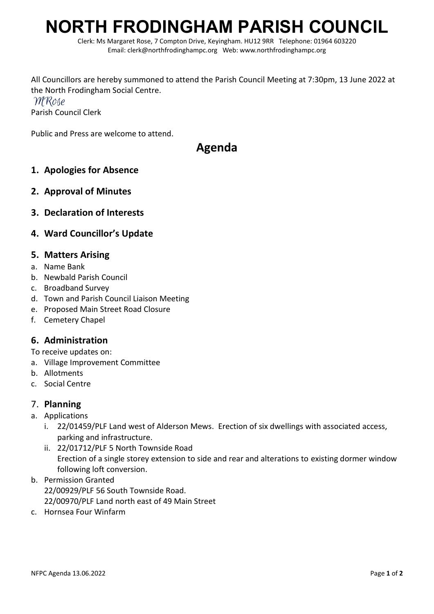# **NORTH FRODINGHAM PARISH COUNCIL**

Clerk: Ms Margaret Rose, 7 Compton Drive, Keyingham. HU12 9RR Telephone: 01964 603220 Email: clerk@northfrodinghampc.org Web: www.northfrodinghampc.org

All Councillors are hereby summoned to attend the Parish Council Meeting at 7:30pm, 13 June 2022 at the North Frodingham Social Centre. MRose Parish Council Clerk

Public and Press are welcome to attend.

# **Agenda**

- **1. Apologies for Absence**
- **2. Approval of Minutes**
- **3. Declaration of Interests**

### **4. Ward Councillor's Update**

#### **5. Matters Arising**

- a. Name Bank
- b. Newbald Parish Council
- c. Broadband Survey
- d. Town and Parish Council Liaison Meeting
- e. Proposed Main Street Road Closure
- f. Cemetery Chapel

#### **6. Administration**

To receive updates on:

- a. Village Improvement Committee
- b. Allotments
- c. Social Centre

#### 7. **Planning**

- a. Applications
	- i. 22/01459/PLF Land west of Alderson Mews. Erection of six dwellings with associated access, parking and infrastructure.
	- ii. 22/01712/PLF 5 North Townside Road Erection of a single storey extension to side and rear and alterations to existing dormer window following loft conversion.
- b. Permission Granted 22/00929/PLF 56 South Townside Road. 22/00970/PLF Land north east of 49 Main Street
- c. Hornsea Four Winfarm